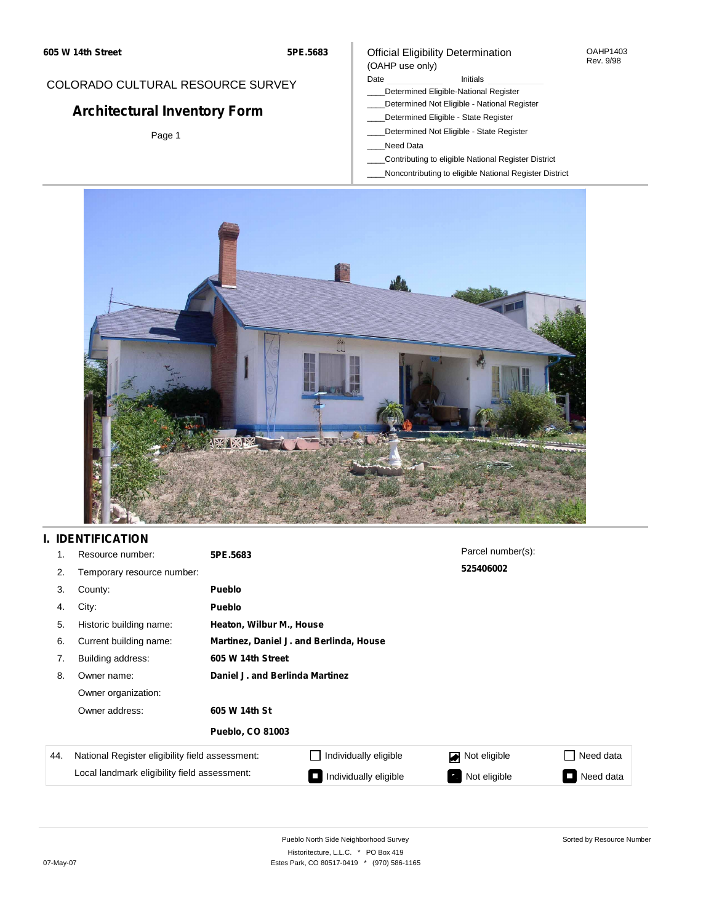## COLORADO CULTURAL RESOURCE SURVEY

# **Architectural Inventory Form**

Page 1

#### Official Eligibility Determination (OAHP use only)

#### Date **Initials** Initials

- \_\_\_\_Determined Eligible-National Register
- \_\_\_\_Determined Not Eligible National Register
- \_\_\_\_Determined Eligible State Register
- \_\_\_\_Determined Not Eligible State Register
- \_\_\_\_Need Data
- \_\_\_\_Contributing to eligible National Register District
- \_\_\_\_Noncontributing to eligible National Register District



## **I. IDENTIFICATION**

| 1.  | Resource number:                                | 5PE.5683                                |                       | Parcel number(s):  |                 |  |  |
|-----|-------------------------------------------------|-----------------------------------------|-----------------------|--------------------|-----------------|--|--|
| 2.  | Temporary resource number:                      |                                         |                       | 525406002          |                 |  |  |
| 3.  | County:                                         | <b>Pueblo</b>                           |                       |                    |                 |  |  |
| 4.  | City:                                           | <b>Pueblo</b>                           |                       |                    |                 |  |  |
| 5.  | Historic building name:                         | Heaton, Wilbur M., House                |                       |                    |                 |  |  |
| 6.  | Current building name:                          | Martinez, Daniel J. and Berlinda, House |                       |                    |                 |  |  |
| 7.  | Building address:                               | 605 W 14th Street                       |                       |                    |                 |  |  |
| 8.  | Owner name:                                     | Daniel J. and Berlinda Martinez         |                       |                    |                 |  |  |
|     | Owner organization:                             |                                         |                       |                    |                 |  |  |
|     | Owner address:<br>605 W 14th St                 |                                         |                       |                    |                 |  |  |
|     |                                                 | <b>Pueblo, CO 81003</b>                 |                       |                    |                 |  |  |
| 44. | National Register eligibility field assessment: |                                         | Individually eligible | Not eligible<br>◪  | Need data       |  |  |
|     | Local landmark eligibility field assessment:    |                                         | Individually eligible | Not eligible<br>-7 | Need data<br>Ī. |  |  |

OAHP1403 Rev. 9/98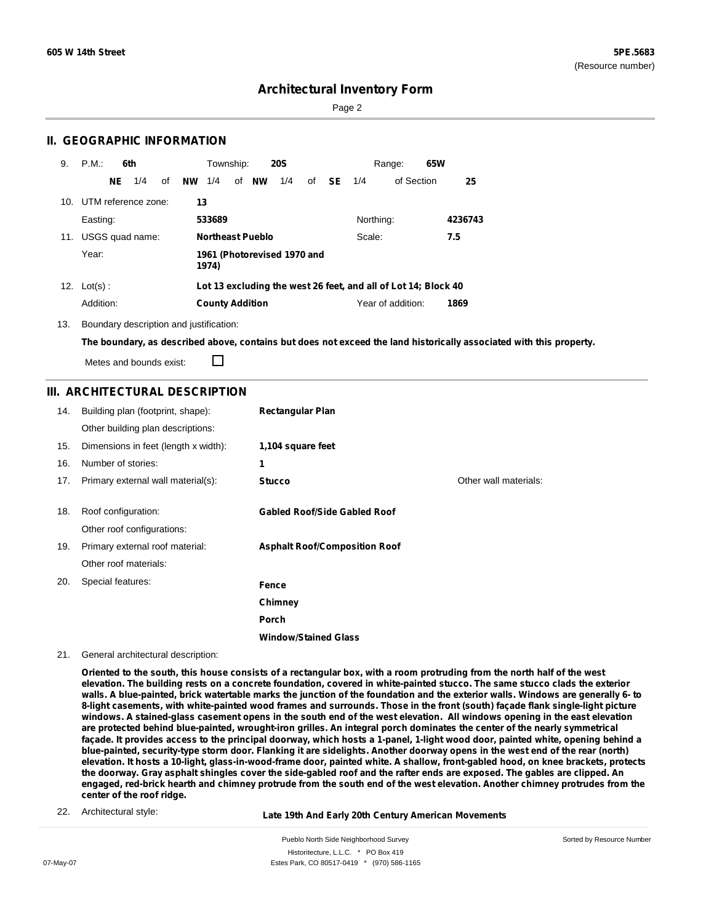Sorted by Resource Number

## **Architectural Inventory Form**

Page 2

### **II. GEOGRAPHIC INFORMATION**

| 9.  | P.M.                | 6th |     |    |           | Township:              |                             | <b>20S</b> |    |     |           | Range:                                                         | 65W |         |
|-----|---------------------|-----|-----|----|-----------|------------------------|-----------------------------|------------|----|-----|-----------|----------------------------------------------------------------|-----|---------|
|     |                     | NE. | 1/4 | οf | <b>NW</b> | 1/4                    | of <b>NW</b>                | 1/4        | of | SE. | 1/4       | of Section                                                     |     | 25      |
| 10. | UTM reference zone: |     |     |    | 13        |                        |                             |            |    |     |           |                                                                |     |         |
|     | Easting:            |     |     |    |           | 533689                 |                             |            |    |     | Northing: |                                                                |     | 4236743 |
| 11. | USGS quad name:     |     |     |    |           |                        | <b>Northeast Pueblo</b>     |            |    |     | Scale:    |                                                                |     | 7.5     |
|     | Year:               |     |     |    |           | 1974)                  | 1961 (Photorevised 1970 and |            |    |     |           |                                                                |     |         |
|     | 12. $Lot(s)$ :      |     |     |    |           |                        |                             |            |    |     |           | Lot 13 excluding the west 26 feet, and all of Lot 14; Block 40 |     |         |
|     | Addition:           |     |     |    |           | <b>County Addition</b> |                             |            |    |     |           | Year of addition:                                              |     | 1869    |

13. Boundary description and justification:

The boundary, as described above, contains but does not exceed the land historically associated with this property.

Metes and bounds exist:

П

#### **III. ARCHITECTURAL DESCRIPTION**

| 14. | Building plan (footprint, shape):    | <b>Rectangular Plan</b>              |                       |
|-----|--------------------------------------|--------------------------------------|-----------------------|
|     | Other building plan descriptions:    |                                      |                       |
| 15. | Dimensions in feet (length x width): | 1,104 square feet                    |                       |
| 16. | Number of stories:                   | 1                                    |                       |
| 17. | Primary external wall material(s):   | <b>Stucco</b>                        | Other wall materials: |
|     |                                      |                                      |                       |
| 18. | Roof configuration:                  | <b>Gabled Roof/Side Gabled Roof</b>  |                       |
|     | Other roof configurations:           |                                      |                       |
| 19. | Primary external roof material:      | <b>Asphalt Roof/Composition Roof</b> |                       |
|     | Other roof materials:                |                                      |                       |
| 20. | Special features:                    | Fence                                |                       |
|     |                                      | Chimney                              |                       |
|     |                                      | Porch                                |                       |
|     |                                      | <b>Window/Stained Glass</b>          |                       |

#### 21. General architectural description:

Oriented to the south, this house consists of a rectangular box, with a room protruding from the north half of the west elevation. The building rests on a concrete foundation, covered in white-painted stucco. The same stucco clads the exterior walls. A blue-painted, brick watertable marks the junction of the foundation and the exterior walls. Windows are generally 6- to 8-light casements, with white-painted wood frames and surrounds. Those in the front (south) façade flank single-light picture windows. A stained-glass casement opens in the south end of the west elevation. All windows opening in the east elevation are protected behind blue-painted, wrought-iron grilles. An integral porch dominates the center of the nearly symmetrical façade. It provides access to the principal doorway, which hosts a 1-panel, 1-light wood door, painted white, opening behind a blue-painted, security-type storm door. Flanking it are sidelights. Another doorway opens in the west end of the rear (north) elevation. It hosts a 10-light, glass-in-wood-frame door, painted white. A shallow, front-gabled hood, on knee brackets, protects the doorway. Gray asphalt shingles cover the side-gabled roof and the rafter ends are exposed. The gables are clipped. An engaged, red-brick hearth and chimney protrude from the south end of the west elevation. Another chimney protrudes from the **center of the roof ridge.**

22. Architectural style:

#### **Late 19th And Early 20th Century American Movements**

Pueblo North Side Neighborhood Survey Historitecture, L.L.C. \* PO Box 419 07-May-07 **Estes Park, CO 80517-0419** \* (970) 586-1165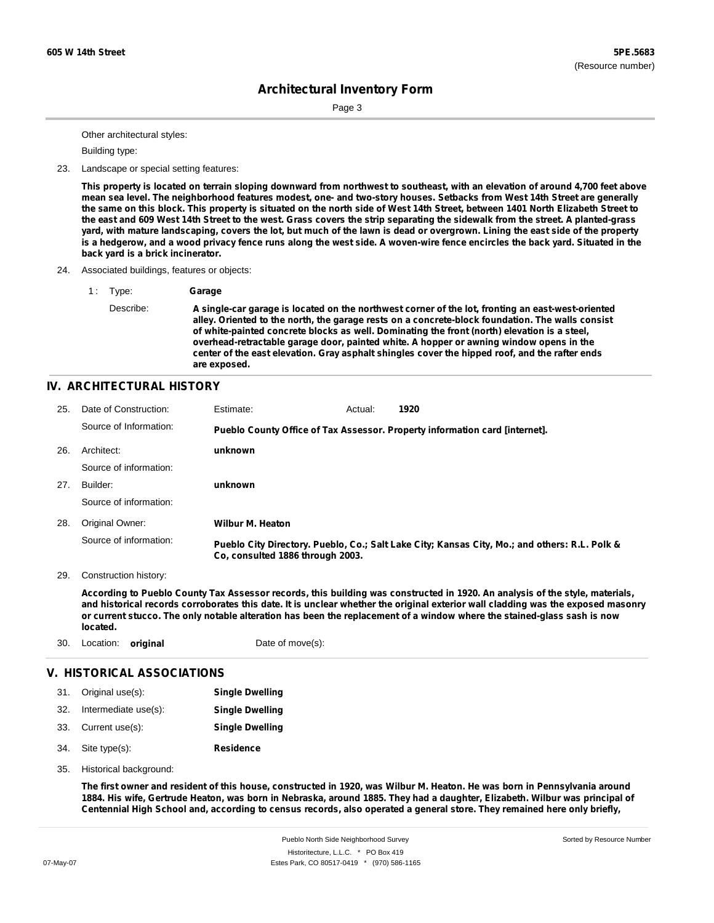Page 3

Other architectural styles:

Building type:

23. Landscape or special setting features:

This property is located on terrain sloping downward from northwest to southeast, with an elevation of around 4,700 feet above mean sea level. The neighborhood features modest, one- and two-story houses. Setbacks from West 14th Street are generally the same on this block. This property is situated on the north side of West 14th Street, between 1401 North Elizabeth Street to the east and 609 West 14th Street to the west. Grass covers the strip separating the sidewalk from the street. A planted-grass yard, with mature landscaping, covers the lot, but much of the lawn is dead or overgrown. Lining the east side of the property is a hedgerow, and a wood privacy fence runs along the west side. A woven-wire fence encircles the back yard. Situated in the **back yard is a brick incinerator.**

- 24. Associated buildings, features or objects:
	- 1 : Type: **Garage** Describe: **A single-car garage is located on the northwest corner of the lot, fronting an east-west-oriented alley. Oriented to the north, the garage rests on a concrete-block foundation. The walls consist of white-painted concrete blocks as well. Dominating the front (north) elevation is a steel, overhead-retractable garage door, painted white. A hopper or awning window opens in the center of the east elevation. Gray asphalt shingles cover the hipped roof, and the rafter ends are exposed.**

## **IV. ARCHITECTURAL HISTORY**

| 25. | Date of Construction:  | Estimate:                                                                   | Actual: | 1920                                                                                          |  |  |  |
|-----|------------------------|-----------------------------------------------------------------------------|---------|-----------------------------------------------------------------------------------------------|--|--|--|
|     | Source of Information: | Pueblo County Office of Tax Assessor. Property information card [internet]. |         |                                                                                               |  |  |  |
| 26. | Architect:             | unknown                                                                     |         |                                                                                               |  |  |  |
|     | Source of information: |                                                                             |         |                                                                                               |  |  |  |
| 27. | Builder:               | unknown                                                                     |         |                                                                                               |  |  |  |
|     | Source of information: |                                                                             |         |                                                                                               |  |  |  |
| 28. | Original Owner:        | <b>Wilbur M. Heaton</b>                                                     |         |                                                                                               |  |  |  |
|     | Source of information: | Co, consulted 1886 through 2003.                                            |         | Pueblo City Directory. Pueblo, Co.; Salt Lake City; Kansas City, Mo.; and others: R.L. Polk & |  |  |  |

29. Construction history:

According to Pueblo County Tax Assessor records, this building was constructed in 1920. An analysis of the style, materials, and historical records corroborates this date. It is unclear whether the original exterior wall cladding was the exposed masonry or current stucco. The only notable alteration has been the replacement of a window where the stained-glass sash is now **located.**

30. Location: **original** Date of move(s):

### **V. HISTORICAL ASSOCIATIONS**

- 31. Original use(s): 32. Intermediate use(s): **Single Dwelling Single Dwelling**
- 33. Current use(s): **Single Dwelling**
- **Residence** Site type(s): 34.
- 35. Historical background:

The first owner and resident of this house, constructed in 1920, was Wilbur M. Heaton. He was born in Pennsylvania around 1884. His wife, Gertrude Heaton, was born in Nebraska, around 1885. They had a daughter, Elizabeth. Wilbur was principal of Centennial High School and, according to census records, also operated a general store. They remained here only briefly,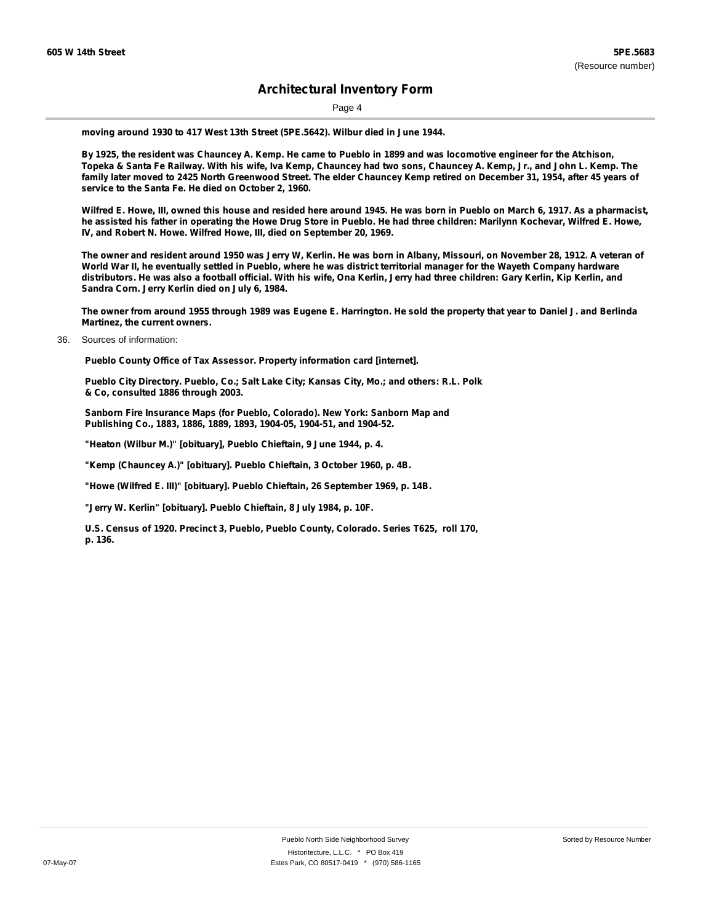Page 4

**moving around 1930 to 417 West 13th Street (5PE.5642). Wilbur died in June 1944.**

By 1925, the resident was Chauncey A. Kemp. He came to Pueblo in 1899 and was locomotive engineer for the Atchison, Topeka & Santa Fe Railway. With his wife, Iva Kemp, Chauncey had two sons, Chauncey A. Kemp, Jr., and John L. Kemp. The family later moved to 2425 North Greenwood Street. The elder Chauncey Kemp retired on December 31, 1954, after 45 years of **service to the Santa Fe. He died on October 2, 1960.**

Wilfred E. Howe, III, owned this house and resided here around 1945. He was born in Pueblo on March 6, 1917. As a pharmacist, he assisted his father in operating the Howe Drug Store in Pueblo. He had three children: Marilynn Kochevar, Wilfred E. Howe, **IV, and Robert N. Howe. Wilfred Howe, III, died on September 20, 1969.**

The owner and resident around 1950 was Jerry W, Kerlin. He was born in Albany, Missouri, on November 28, 1912. A veteran of World War II, he eventually settled in Pueblo, where he was district territorial manager for the Wayeth Company hardware distributors. He was also a football official. With his wife, Ona Kerlin, Jerry had three children: Gary Kerlin, Kip Kerlin, and **Sandra Corn. Jerry Kerlin died on July 6, 1984.**

The owner from around 1955 through 1989 was Eugene E. Harrington. He sold the property that year to Daniel J. and Berlinda **Martinez, the current owners.**

36. Sources of information:

**Pueblo County Office of Tax Assessor. Property information card [internet].**

**Pueblo City Directory. Pueblo, Co.; Salt Lake City; Kansas City, Mo.; and others: R.L. Polk & Co, consulted 1886 through 2003.**

**Sanborn Fire Insurance Maps (for Pueblo, Colorado). New York: Sanborn Map and Publishing Co., 1883, 1886, 1889, 1893, 1904-05, 1904-51, and 1904-52.**

**"Heaton (Wilbur M.)" [obituary], Pueblo Chieftain, 9 June 1944, p. 4.**

**"Kemp (Chauncey A.)" [obituary]. Pueblo Chieftain, 3 October 1960, p. 4B.**

**"Howe (Wilfred E. III)" [obituary]. Pueblo Chieftain, 26 September 1969, p. 14B.**

**"Jerry W. Kerlin" [obituary]. Pueblo Chieftain, 8 July 1984, p. 10F.**

**U.S. Census of 1920. Precinct 3, Pueblo, Pueblo County, Colorado. Series T625, roll 170, p. 136.**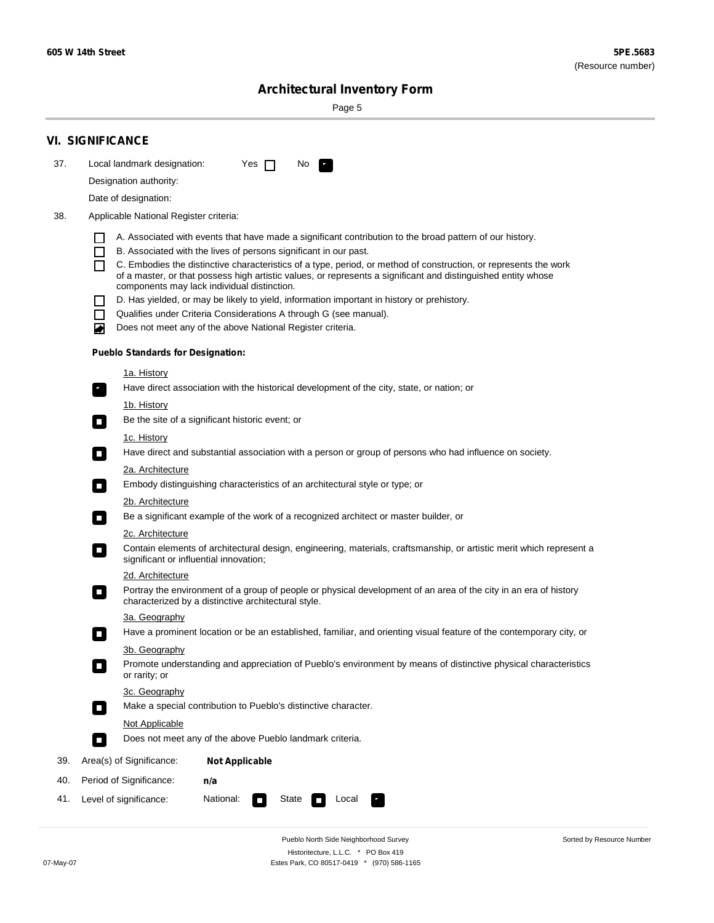۰

Sorted by Resource Number

## **Architectural Inventory Form**

Page 5

|     | <b>VI. SIGNIFICANCE</b>                   |                                                                                                                                                                              |
|-----|-------------------------------------------|------------------------------------------------------------------------------------------------------------------------------------------------------------------------------|
| 37. | Local landmark designation:               | Yes $\Box$<br>No.<br>LE.                                                                                                                                                     |
|     | Designation authority:                    |                                                                                                                                                                              |
|     | Date of designation:                      |                                                                                                                                                                              |
| 38. | Applicable National Register criteria:    |                                                                                                                                                                              |
|     |                                           |                                                                                                                                                                              |
|     | $\Box$                                    | A. Associated with events that have made a significant contribution to the broad pattern of our history.<br>B. Associated with the lives of persons significant in our past. |
|     |                                           | C. Embodies the distinctive characteristics of a type, period, or method of construction, or represents the work                                                             |
|     |                                           | of a master, or that possess high artistic values, or represents a significant and distinguished entity whose<br>components may lack individual distinction.                 |
|     |                                           | D. Has yielded, or may be likely to yield, information important in history or prehistory.                                                                                   |
|     | $\mathsf{L}$                              | Qualifies under Criteria Considerations A through G (see manual).                                                                                                            |
|     | Ю                                         | Does not meet any of the above National Register criteria.                                                                                                                   |
|     | <b>Pueblo Standards for Designation:</b>  |                                                                                                                                                                              |
|     | <u>1a. History</u>                        |                                                                                                                                                                              |
|     | $\overline{\phantom{a}}$ ,                | Have direct association with the historical development of the city, state, or nation; or                                                                                    |
|     | <u>1b. History</u>                        |                                                                                                                                                                              |
|     | $\Box$                                    | Be the site of a significant historic event; or                                                                                                                              |
|     | 1c. History                               |                                                                                                                                                                              |
|     | $\sim$                                    | Have direct and substantial association with a person or group of persons who had influence on society.                                                                      |
|     | <u>2a. Architecture</u>                   |                                                                                                                                                                              |
|     | $\Box$                                    | Embody distinguishing characteristics of an architectural style or type; or                                                                                                  |
|     | <u>2b. Architecture</u>                   |                                                                                                                                                                              |
|     | $\blacksquare$                            | Be a significant example of the work of a recognized architect or master builder, or                                                                                         |
|     | 2c. Architecture                          |                                                                                                                                                                              |
|     | $\Box$                                    | Contain elements of architectural design, engineering, materials, craftsmanship, or artistic merit which represent a<br>significant or influential innovation;               |
|     | 2d. Architecture                          |                                                                                                                                                                              |
|     | $\Box$                                    | Portray the environment of a group of people or physical development of an area of the city in an era of history<br>characterized by a distinctive architectural style.      |
|     | 3a. Geography                             |                                                                                                                                                                              |
|     |                                           | Have a prominent location or be an established, familiar, and orienting visual feature of the contemporary city, or                                                          |
|     | 3b. Geography                             |                                                                                                                                                                              |
|     | $\overline{\phantom{a}}$<br>or rarity; or | Promote understanding and appreciation of Pueblo's environment by means of distinctive physical characteristics                                                              |
|     | 3c. Geography                             |                                                                                                                                                                              |
|     | $\mathcal{L}_{\mathcal{A}}$               | Make a special contribution to Pueblo's distinctive character.                                                                                                               |
|     | Not Applicable                            |                                                                                                                                                                              |
|     | $\Box$                                    | Does not meet any of the above Pueblo landmark criteria.                                                                                                                     |
| 39. | Area(s) of Significance:                  | <b>Not Applicable</b>                                                                                                                                                        |
| 40. | Period of Significance:                   | n/a                                                                                                                                                                          |
| 41. | Level of significance:                    | National:<br>State<br>Local<br>×)<br>$\sim$                                                                                                                                  |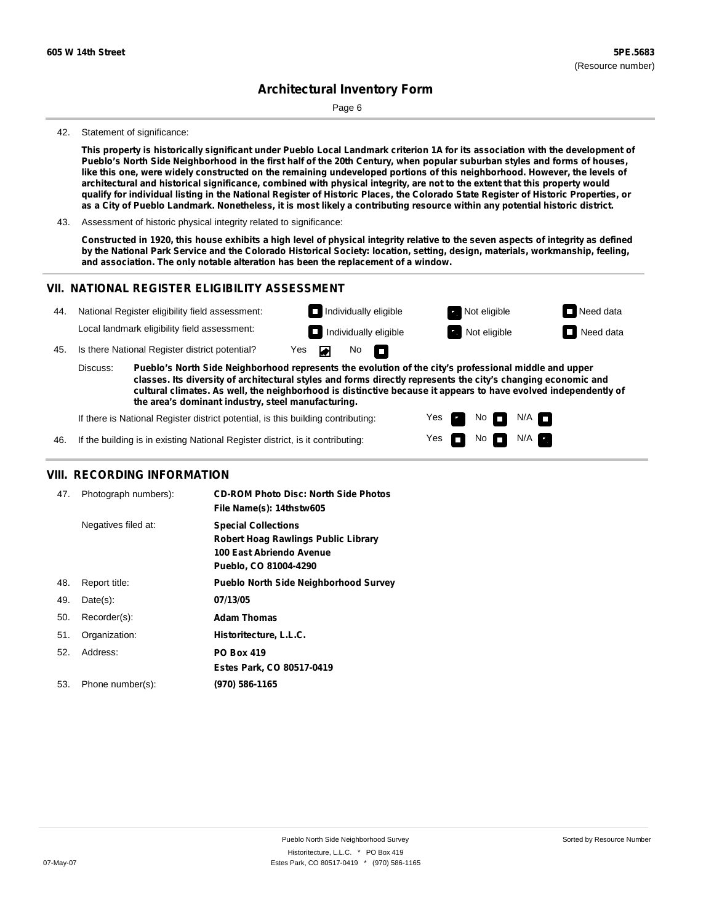Page 6

#### 42. Statement of significance:

This property is historically significant under Pueblo Local Landmark criterion 1A for its association with the development of Pueblo's North Side Neighborhood in the first half of the 20th Century, when popular suburban styles and forms of houses, like this one, were widely constructed on the remaining undeveloped portions of this neighborhood. However, the levels of architectural and historical significance, combined with physical integrity, are not to the extent that this property would qualify for individual listing in the National Register of Historic Places, the Colorado State Register of Historic Properties, or as a City of Pueblo Landmark. Nonetheless, it is most likely a contributing resource within any potential historic district.

43. Assessment of historic physical integrity related to significance:

Constructed in 1920, this house exhibits a high level of physical integrity relative to the seven aspects of integrity as defined by the National Park Service and the Colorado Historical Society: location, setting, design, materials, workmanship, feeling, **and association. The only notable alteration has been the replacement of a window.**

#### **VII. NATIONAL REGISTER ELIGIBILITY ASSESSMENT**



Yes

No  $\blacksquare$  N/A

If the building is in existing National Register district, is it contributing: 46.

### **VIII. RECORDING INFORMATION**

| 47. | Photograph numbers): | <b>CD-ROM Photo Disc: North Side Photos</b><br>File Name(s): 14thstw605                                                       |
|-----|----------------------|-------------------------------------------------------------------------------------------------------------------------------|
|     | Negatives filed at:  | <b>Special Collections</b><br><b>Robert Hoag Rawlings Public Library</b><br>100 East Abriendo Avenue<br>Pueblo, CO 81004-4290 |
| 48. | Report title:        | <b>Pueblo North Side Neighborhood Survey</b>                                                                                  |
| 49. | $Date(s)$ :          | 07/13/05                                                                                                                      |
| 50. | Recorder(s):         | <b>Adam Thomas</b>                                                                                                            |
| 51. | Organization:        | Historitecture, L.L.C.                                                                                                        |
| 52. | Address:             | <b>PO Box 419</b>                                                                                                             |
|     |                      | Estes Park, CO 80517-0419                                                                                                     |
| 53. | Phone number(s):     | (970) 586-1165                                                                                                                |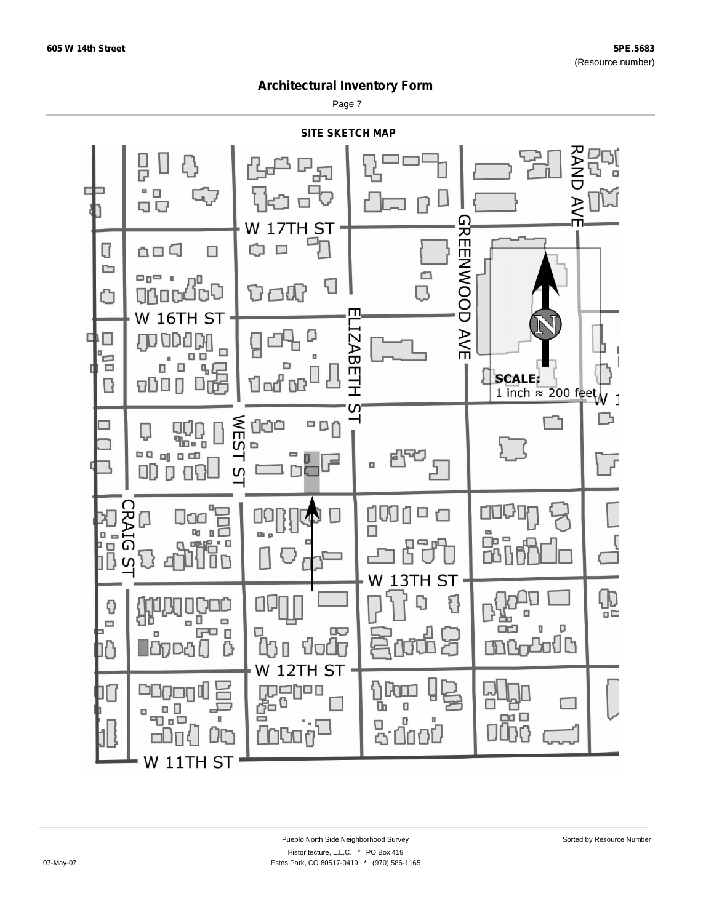Page 7